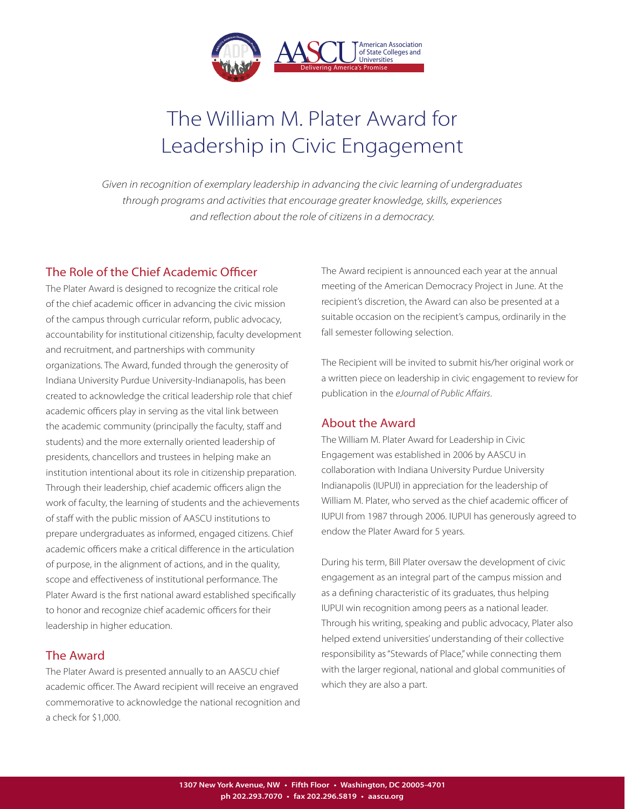

# The William M. Plater Award for Leadership in Civic Engagement

*Given in recognition of exemplary leadership in advancing the civic learning of undergraduates through programs and activities that encourage greater knowledge, skills, experiences and reflection about the role of citizens in a democracy.*

## The Role of the Chief Academic Officer

The Plater Award is designed to recognize the critical role of the chief academic officer in advancing the civic mission of the campus through curricular reform, public advocacy, accountability for institutional citizenship, faculty development and recruitment, and partnerships with community organizations. The Award, funded through the generosity of Indiana University Purdue University-Indianapolis, has been created to acknowledge the critical leadership role that chief academic officers play in serving as the vital link between the academic community (principally the faculty, staff and students) and the more externally oriented leadership of presidents, chancellors and trustees in helping make an institution intentional about its role in citizenship preparation. Through their leadership, chief academic officers align the work of faculty, the learning of students and the achievements of staff with the public mission of AASCU institutions to prepare undergraduates as informed, engaged citizens. Chief academic officers make a critical difference in the articulation of purpose, in the alignment of actions, and in the quality, scope and effectiveness of institutional performance. The Plater Award is the first national award established specifically to honor and recognize chief academic officers for their leadership in higher education.

## The Award

The Plater Award is presented annually to an AASCU chief academic officer. The Award recipient will receive an engraved commemorative to acknowledge the national recognition and a check for \$1,000.

The Award recipient is announced each year at the annual meeting of the American Democracy Project in June. At the recipient's discretion, the Award can also be presented at a suitable occasion on the recipient's campus, ordinarily in the fall semester following selection.

The Recipient will be invited to submit his/her original work or a written piece on leadership in civic engagement to review for publication in the *eJournal of Public Affairs*.

## About the Award

The William M. Plater Award for Leadership in Civic Engagement was established in 2006 by AASCU in collaboration with Indiana University Purdue University Indianapolis (IUPUI) in appreciation for the leadership of William M. Plater, who served as the chief academic officer of IUPUI from 1987 through 2006. IUPUI has generously agreed to endow the Plater Award for 5 years.

During his term, Bill Plater oversaw the development of civic engagement as an integral part of the campus mission and as a defining characteristic of its graduates, thus helping IUPUI win recognition among peers as a national leader. Through his writing, speaking and public advocacy, Plater also helped extend universities' understanding of their collective responsibility as "Stewards of Place," while connecting them with the larger regional, national and global communities of which they are also a part.